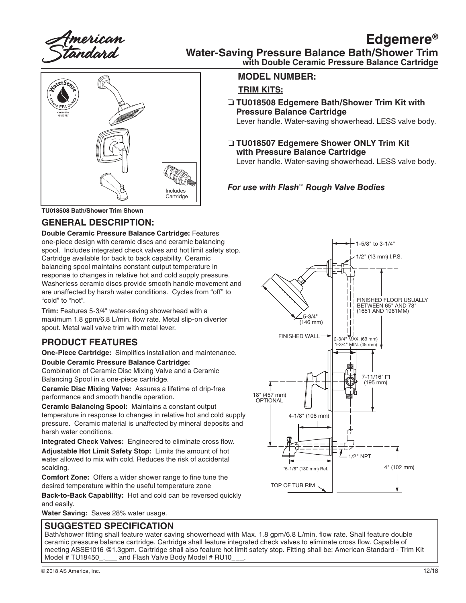American<br>:tandard

## **Edgemere® Water-Saving Pressure Balance Bath/Shower Trim**

# aterSen Includes Cartridge

**with Double Ceramic Pressure Balance Cartridge**

#### **MODEL NUMBER:**

#### **TRIM KITS:**

❏ **TU018508 Edgemere Bath/Shower Trim Kit with Pressure Balance Cartridge**

Lever handle. Water-saving showerhead. LESS valve body.

❏ **TU018507 Edgemere Shower ONLY Trim Kit with Pressure Balance Cartridge**

Lever handle. Water-saving showerhead. LESS valve body.

## *For use with Flash™ Rough Valve Bodies*

**TU018508 Bath/Shower Trim Shown**

#### **GENERAL DESCRIPTION:**

**Double Ceramic Pressure Balance Cartridge:** Features one-piece design with ceramic discs and ceramic balancing spool. Includes integrated check valves and hot limit safety stop. Cartridge available for back to back capability. Ceramic balancing spool maintains constant output temperature in response to changes in relative hot and cold supply pressure. Washerless ceramic discs provide smooth handle movement and are unaffected by harsh water conditions. Cycles from "off" to "cold" to "hot".

**Trim:** Features 5-3/4" water-saving showerhead with a maximum 1.8 gpm/6.8 L/min. flow rate. Metal slip-on diverter spout. Metal wall valve trim with metal lever.

## **PRODUCT FEATURES**

**One-Piece Cartridge:** Simplifies installation and maintenance.

#### **Double Ceramic Pressure Balance Cartridge:**

Combination of Ceramic Disc Mixing Valve and a Ceramic Balancing Spool in a one-piece cartridge.

**Ceramic Disc Mixing Valve:** Assures a lifetime of drip-free performance and smooth handle operation.

**Ceramic Balancing Spool:** Maintains a constant output temperature in response to changes in relative hot and cold supply pressure. Ceramic material is unaffected by mineral deposits and harsh water conditions.

**Integrated Check Valves:** Engineered to eliminate cross flow.

**Adjustable Hot Limit Safety Stop:** Limits the amount of hot water allowed to mix with cold. Reduces the risk of accidental scalding.

**Comfort Zone:** Offers a wider shower range to fine tune the desired temperature within the useful temperature zone

**Back-to-Back Capability:** Hot and cold can be reversed quickly and easily.

**Water Saving:** Saves 28% water usage.

#### **SUGGESTED SPECIFICATION**

Bath/shower fitting shall feature water saving showerhead with Max. 1.8 gpm/6.8 L/min. flow rate. Shall feature double ceramic pressure balance cartridge. Cartridge shall feature integrated check valves to eliminate cross flow. Capable of meeting ASSE1016 @1.3gpm. Cartridge shall also feature hot limit safety stop. Fitting shall be: American Standard - Trim Kit<br>Model # TU18450 . and Flash Valve Body Model # RU10 and Flash Valve Body Model # RU10